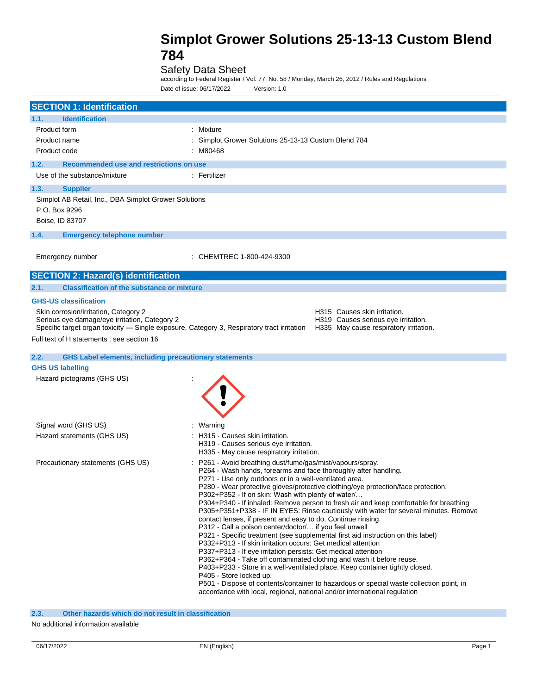## Safety Data Sheet

according to Federal Register / Vol. 77, No. 58 / Monday, March 26, 2012 / Rules and Regulations Date of issue: 06/17/2022 Version: 1.0

| <b>SECTION 1: Identification</b>                                                                                                                                                                                                                                   |                                                                                                                                                                                                                                                                                                                                                                                                                                                                                                                                                                                                                                                                                                                                                                                                                                                                                                                                                                                                                                                                                                                                                                                                                             |  |
|--------------------------------------------------------------------------------------------------------------------------------------------------------------------------------------------------------------------------------------------------------------------|-----------------------------------------------------------------------------------------------------------------------------------------------------------------------------------------------------------------------------------------------------------------------------------------------------------------------------------------------------------------------------------------------------------------------------------------------------------------------------------------------------------------------------------------------------------------------------------------------------------------------------------------------------------------------------------------------------------------------------------------------------------------------------------------------------------------------------------------------------------------------------------------------------------------------------------------------------------------------------------------------------------------------------------------------------------------------------------------------------------------------------------------------------------------------------------------------------------------------------|--|
| 1.1.<br><b>Identification</b>                                                                                                                                                                                                                                      |                                                                                                                                                                                                                                                                                                                                                                                                                                                                                                                                                                                                                                                                                                                                                                                                                                                                                                                                                                                                                                                                                                                                                                                                                             |  |
| Product form<br>Product name<br>Product code                                                                                                                                                                                                                       | Mixture<br>Simplot Grower Solutions 25-13-13 Custom Blend 784<br>: M80468                                                                                                                                                                                                                                                                                                                                                                                                                                                                                                                                                                                                                                                                                                                                                                                                                                                                                                                                                                                                                                                                                                                                                   |  |
| 1.2.<br>Recommended use and restrictions on use                                                                                                                                                                                                                    |                                                                                                                                                                                                                                                                                                                                                                                                                                                                                                                                                                                                                                                                                                                                                                                                                                                                                                                                                                                                                                                                                                                                                                                                                             |  |
| Use of the substance/mixture                                                                                                                                                                                                                                       | : Fertilizer                                                                                                                                                                                                                                                                                                                                                                                                                                                                                                                                                                                                                                                                                                                                                                                                                                                                                                                                                                                                                                                                                                                                                                                                                |  |
| 1.3.<br><b>Supplier</b><br>Simplot AB Retail, Inc., DBA Simplot Grower Solutions<br>P.O. Box 9296<br>Boise, ID 83707                                                                                                                                               |                                                                                                                                                                                                                                                                                                                                                                                                                                                                                                                                                                                                                                                                                                                                                                                                                                                                                                                                                                                                                                                                                                                                                                                                                             |  |
| 1.4.<br><b>Emergency telephone number</b>                                                                                                                                                                                                                          |                                                                                                                                                                                                                                                                                                                                                                                                                                                                                                                                                                                                                                                                                                                                                                                                                                                                                                                                                                                                                                                                                                                                                                                                                             |  |
| Emergency number                                                                                                                                                                                                                                                   | CHEMTREC 1-800-424-9300                                                                                                                                                                                                                                                                                                                                                                                                                                                                                                                                                                                                                                                                                                                                                                                                                                                                                                                                                                                                                                                                                                                                                                                                     |  |
| <b>SECTION 2: Hazard(s) identification</b>                                                                                                                                                                                                                         |                                                                                                                                                                                                                                                                                                                                                                                                                                                                                                                                                                                                                                                                                                                                                                                                                                                                                                                                                                                                                                                                                                                                                                                                                             |  |
| <b>Classification of the substance or mixture</b><br>2.1.                                                                                                                                                                                                          |                                                                                                                                                                                                                                                                                                                                                                                                                                                                                                                                                                                                                                                                                                                                                                                                                                                                                                                                                                                                                                                                                                                                                                                                                             |  |
| <b>GHS-US classification</b><br>Skin corrosion/irritation, Category 2<br>Serious eye damage/eye irritation, Category 2<br>Specific target organ toxicity - Single exposure, Category 3, Respiratory tract irritation<br>Full text of H statements : see section 16 | H315 Causes skin irritation.<br>H319 Causes serious eye irritation.<br>H335 May cause respiratory irritation.                                                                                                                                                                                                                                                                                                                                                                                                                                                                                                                                                                                                                                                                                                                                                                                                                                                                                                                                                                                                                                                                                                               |  |
| <b>GHS Label elements, including precautionary statements</b><br>2.2.                                                                                                                                                                                              |                                                                                                                                                                                                                                                                                                                                                                                                                                                                                                                                                                                                                                                                                                                                                                                                                                                                                                                                                                                                                                                                                                                                                                                                                             |  |
| <b>GHS US labelling</b>                                                                                                                                                                                                                                            |                                                                                                                                                                                                                                                                                                                                                                                                                                                                                                                                                                                                                                                                                                                                                                                                                                                                                                                                                                                                                                                                                                                                                                                                                             |  |
| Hazard pictograms (GHS US)                                                                                                                                                                                                                                         |                                                                                                                                                                                                                                                                                                                                                                                                                                                                                                                                                                                                                                                                                                                                                                                                                                                                                                                                                                                                                                                                                                                                                                                                                             |  |
| Signal word (GHS US)                                                                                                                                                                                                                                               | Warning                                                                                                                                                                                                                                                                                                                                                                                                                                                                                                                                                                                                                                                                                                                                                                                                                                                                                                                                                                                                                                                                                                                                                                                                                     |  |
| Hazard statements (GHS US)                                                                                                                                                                                                                                         | H315 - Causes skin irritation.<br>H319 - Causes serious eye irritation.<br>H335 - May cause respiratory irritation.                                                                                                                                                                                                                                                                                                                                                                                                                                                                                                                                                                                                                                                                                                                                                                                                                                                                                                                                                                                                                                                                                                         |  |
| Precautionary statements (GHS US)                                                                                                                                                                                                                                  | P261 - Avoid breathing dust/fume/gas/mist/vapours/spray.<br>P264 - Wash hands, forearms and face thoroughly after handling.<br>P271 - Use only outdoors or in a well-ventilated area.<br>P280 - Wear protective gloves/protective clothing/eye protection/face protection.<br>P302+P352 - If on skin: Wash with plenty of water/<br>P304+P340 - If inhaled: Remove person to fresh air and keep comfortable for breathing<br>P305+P351+P338 - IF IN EYES: Rinse cautiously with water for several minutes. Remove<br>contact lenses, if present and easy to do. Continue rinsing.<br>P312 - Call a poison center/doctor/ if you feel unwell<br>P321 - Specific treatment (see supplemental first aid instruction on this label)<br>P332+P313 - If skin irritation occurs: Get medical attention<br>P337+P313 - If eye irritation persists: Get medical attention<br>P362+P364 - Take off contaminated clothing and wash it before reuse.<br>P403+P233 - Store in a well-ventilated place. Keep container tightly closed.<br>P405 - Store locked up.<br>P501 - Dispose of contents/container to hazardous or special waste collection point, in<br>accordance with local, regional, national and/or international regulation |  |

**2.3. Other hazards which do not result in classification**

#### No additional information available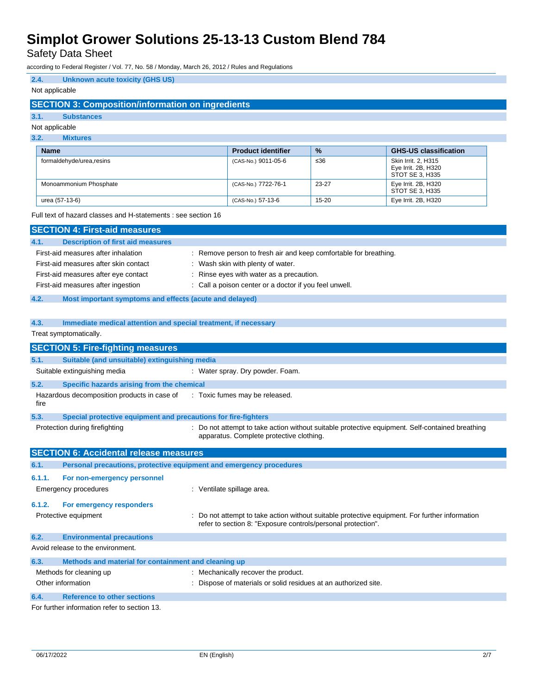Safety Data Sheet

according to Federal Register / Vol. 77, No. 58 / Monday, March 26, 2012 / Rules and Regulations

## **2.4. Unknown acute toxicity (GHS US)**

## Not applicable

## **SECTION 3: Composition/information on ingredients**

#### **3.1. Substances**

#### Not applicable

#### **3.2. Mixtures**

| <b>Name</b>              | <b>Product identifier</b> | $\frac{9}{6}$ | <b>GHS-US classification</b>                                  |
|--------------------------|---------------------------|---------------|---------------------------------------------------------------|
| formaldehyde/urea.resins | (CAS-No.) 9011-05-6       | ≤36           | Skin Irrit, 2, H315<br>Eye Irrit. 2B, H320<br>STOT SE 3, H335 |
| Monoammonium Phosphate   | (CAS-No.) 7722-76-1       | 23-27         | Eye Irrit. 2B, H320<br>STOT SE 3, H335                        |
| urea (57-13-6)           | (CAS-No.) 57-13-6         | $15 - 20$     | Eye Irrit. 2B, H320                                           |

#### Full text of hazard classes and H-statements : see section 16

|        | <b>SECTION 4: First-aid measures</b>                                |                                                                                                                                                              |
|--------|---------------------------------------------------------------------|--------------------------------------------------------------------------------------------------------------------------------------------------------------|
| 4.1.   | <b>Description of first aid measures</b>                            |                                                                                                                                                              |
|        | First-aid measures after inhalation                                 | Remove person to fresh air and keep comfortable for breathing.                                                                                               |
|        | First-aid measures after skin contact                               | Wash skin with plenty of water.                                                                                                                              |
|        | First-aid measures after eye contact                                | Rinse eyes with water as a precaution.                                                                                                                       |
|        | First-aid measures after ingestion                                  | Call a poison center or a doctor if you feel unwell.                                                                                                         |
| 4.2.   | Most important symptoms and effects (acute and delayed)             |                                                                                                                                                              |
|        |                                                                     |                                                                                                                                                              |
| 4.3.   | Immediate medical attention and special treatment, if necessary     |                                                                                                                                                              |
|        | Treat symptomatically.                                              |                                                                                                                                                              |
|        | <b>SECTION 5: Fire-fighting measures</b>                            |                                                                                                                                                              |
| 5.1.   | Suitable (and unsuitable) extinguishing media                       |                                                                                                                                                              |
|        | Suitable extinguishing media                                        | : Water spray. Dry powder. Foam.                                                                                                                             |
| 5.2.   | Specific hazards arising from the chemical                          |                                                                                                                                                              |
| fire   | Hazardous decomposition products in case of                         | : Toxic fumes may be released.                                                                                                                               |
| 5.3.   | Special protective equipment and precautions for fire-fighters      |                                                                                                                                                              |
|        | Protection during firefighting                                      | : Do not attempt to take action without suitable protective equipment. Self-contained breathing<br>apparatus. Complete protective clothing.                  |
|        | <b>SECTION 6: Accidental release measures</b>                       |                                                                                                                                                              |
| 6.1.   | Personal precautions, protective equipment and emergency procedures |                                                                                                                                                              |
| 6.1.1. | For non-emergency personnel                                         |                                                                                                                                                              |
|        | <b>Emergency procedures</b>                                         | : Ventilate spillage area.                                                                                                                                   |
| 6.1.2. | For emergency responders                                            |                                                                                                                                                              |
|        | Protective equipment                                                | Do not attempt to take action without suitable protective equipment. For further information<br>refer to section 8: "Exposure controls/personal protection". |
| 6.2.   | <b>Environmental precautions</b>                                    |                                                                                                                                                              |
|        | Avoid release to the environment.                                   |                                                                                                                                                              |
| 6.3.   | Methods and material for containment and cleaning up                |                                                                                                                                                              |
|        | Methods for cleaning up                                             | : Mechanically recover the product.                                                                                                                          |
|        | Other information                                                   | Dispose of materials or solid residues at an authorized site.                                                                                                |
| 6.4.   | <b>Reference to other sections</b>                                  |                                                                                                                                                              |
|        | For further information refer to section 13.                        |                                                                                                                                                              |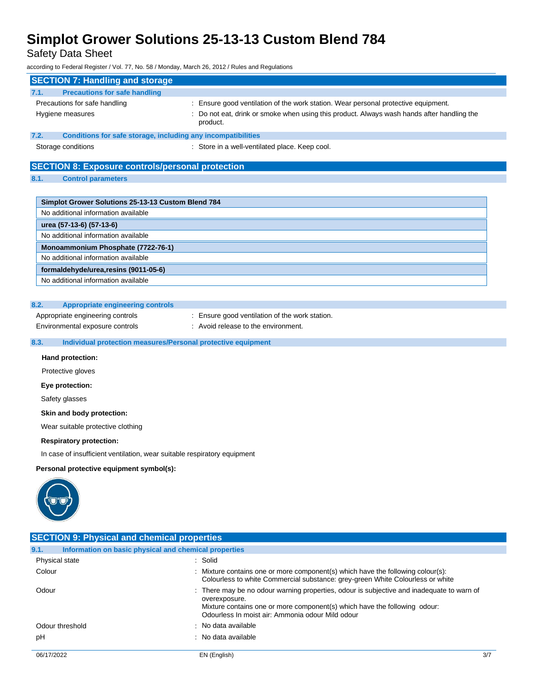Safety Data Sheet

according to Federal Register / Vol. 77, No. 58 / Monday, March 26, 2012 / Rules and Regulations

| <b>SECTION 7: Handling and storage</b>                  |                                                                                                        |
|---------------------------------------------------------|--------------------------------------------------------------------------------------------------------|
| <b>Precautions for safe handling</b><br>7.1.            |                                                                                                        |
| Precautions for safe handling                           | : Ensure good ventilation of the work station. Wear personal protective equipment.                     |
| Hygiene measures                                        | : Do not eat, drink or smoke when using this product. Always wash hands after handling the<br>product. |
| 7.2.                                                    | Conditions for safe storage, including any incompatibilities                                           |
| Storage conditions                                      | : Store in a well-ventilated place. Keep cool.                                                         |
|                                                         |                                                                                                        |
| <b>SECTION 8: Exposure controls/personal protection</b> |                                                                                                        |
| 8.1.<br><b>Control parameters</b>                       |                                                                                                        |
|                                                         |                                                                                                        |
| Simplot Grower Solutions 25-13-13 Custom Blend 784      |                                                                                                        |
| No additional information available                     |                                                                                                        |
| urea (57-13-6) (57-13-6)                                |                                                                                                        |
| No additional information available                     |                                                                                                        |
| Monoammonium Phosphate (7722-76-1)                      |                                                                                                        |
| No additional information available                     |                                                                                                        |

**formaldehyde/urea,resins (9011-05-6)** No additional information available

### **8.2. Appropriate engineering controls**

Appropriate engineering controls : Ensure good ventilation of the work station.

Environmental exposure controls : Avoid release to the environment.

## **8.3. Individual protection measures/Personal protective equipment**

**Hand protection:**

Protective gloves

**Eye protection:**

Safety glasses

#### **Skin and body protection:**

Wear suitable protective clothing

#### **Respiratory protection:**

In case of insufficient ventilation, wear suitable respiratory equipment

**Personal protective equipment symbol(s):**



| <b>SECTION 9: Physical and chemical properties</b>            |                                                                                                                                                                                                                                             |  |  |  |
|---------------------------------------------------------------|---------------------------------------------------------------------------------------------------------------------------------------------------------------------------------------------------------------------------------------------|--|--|--|
| Information on basic physical and chemical properties<br>9.1. |                                                                                                                                                                                                                                             |  |  |  |
| Physical state                                                | : Solid                                                                                                                                                                                                                                     |  |  |  |
| Colour                                                        | : Mixture contains one or more component(s) which have the following colour(s):<br>Colourless to white Commercial substance: grey-green White Colourless or white                                                                           |  |  |  |
| Odour                                                         | : There may be no odour warning properties, odour is subjective and inadequate to warn of<br>overexposure.<br>Mixture contains one or more component(s) which have the following odour:<br>Odourless In moist air: Ammonia odour Mild odour |  |  |  |
| Odour threshold                                               | : No data available                                                                                                                                                                                                                         |  |  |  |
| pH                                                            | : No data available                                                                                                                                                                                                                         |  |  |  |
| 06/17/2022                                                    | EN (English)<br>3/7                                                                                                                                                                                                                         |  |  |  |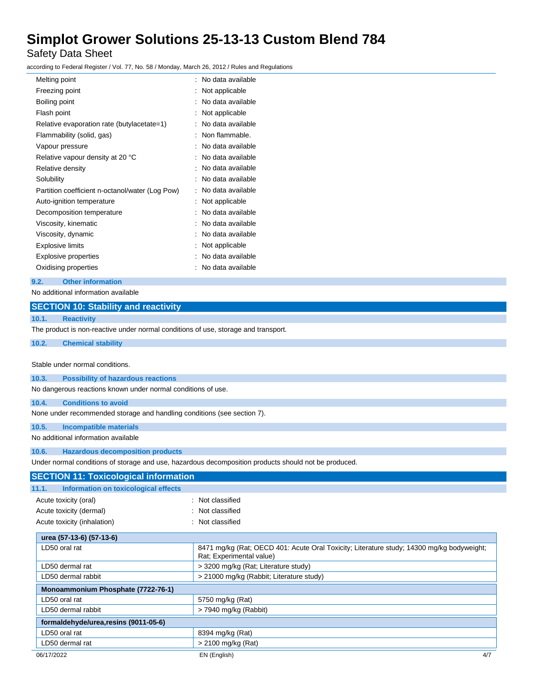Safety Data Sheet

according to Federal Register / Vol. 77, No. 58 / Monday, March 26, 2012 / Rules and Regulations

| Freezing point<br>Not applicable<br>No data available<br>Boiling point<br>Flash point<br>Not applicable<br>No data available<br>Relative evaporation rate (butylacetate=1)<br>Non flammable.<br>Flammability (solid, gas)<br>t<br>No data available<br>Vapour pressure<br>t<br>No data available<br>Relative vapour density at 20 °C<br>No data available<br>Relative density<br>٠<br>Solubility<br>No data available<br>Partition coefficient n-octanol/water (Log Pow)<br>No data available<br>Auto-ignition temperature<br>Not applicable<br>No data available<br>Decomposition temperature<br>Viscosity, kinematic<br>No data available<br>Viscosity, dynamic<br>No data available<br><b>Explosive limits</b><br>Not applicable<br>No data available<br><b>Explosive properties</b><br>No data available<br>Oxidising properties | Melting point | No data available |
|--------------------------------------------------------------------------------------------------------------------------------------------------------------------------------------------------------------------------------------------------------------------------------------------------------------------------------------------------------------------------------------------------------------------------------------------------------------------------------------------------------------------------------------------------------------------------------------------------------------------------------------------------------------------------------------------------------------------------------------------------------------------------------------------------------------------------------------|---------------|-------------------|
|                                                                                                                                                                                                                                                                                                                                                                                                                                                                                                                                                                                                                                                                                                                                                                                                                                      |               |                   |
|                                                                                                                                                                                                                                                                                                                                                                                                                                                                                                                                                                                                                                                                                                                                                                                                                                      |               |                   |
|                                                                                                                                                                                                                                                                                                                                                                                                                                                                                                                                                                                                                                                                                                                                                                                                                                      |               |                   |
|                                                                                                                                                                                                                                                                                                                                                                                                                                                                                                                                                                                                                                                                                                                                                                                                                                      |               |                   |
|                                                                                                                                                                                                                                                                                                                                                                                                                                                                                                                                                                                                                                                                                                                                                                                                                                      |               |                   |
|                                                                                                                                                                                                                                                                                                                                                                                                                                                                                                                                                                                                                                                                                                                                                                                                                                      |               |                   |
|                                                                                                                                                                                                                                                                                                                                                                                                                                                                                                                                                                                                                                                                                                                                                                                                                                      |               |                   |
|                                                                                                                                                                                                                                                                                                                                                                                                                                                                                                                                                                                                                                                                                                                                                                                                                                      |               |                   |
|                                                                                                                                                                                                                                                                                                                                                                                                                                                                                                                                                                                                                                                                                                                                                                                                                                      |               |                   |
|                                                                                                                                                                                                                                                                                                                                                                                                                                                                                                                                                                                                                                                                                                                                                                                                                                      |               |                   |
|                                                                                                                                                                                                                                                                                                                                                                                                                                                                                                                                                                                                                                                                                                                                                                                                                                      |               |                   |
|                                                                                                                                                                                                                                                                                                                                                                                                                                                                                                                                                                                                                                                                                                                                                                                                                                      |               |                   |
|                                                                                                                                                                                                                                                                                                                                                                                                                                                                                                                                                                                                                                                                                                                                                                                                                                      |               |                   |
|                                                                                                                                                                                                                                                                                                                                                                                                                                                                                                                                                                                                                                                                                                                                                                                                                                      |               |                   |
|                                                                                                                                                                                                                                                                                                                                                                                                                                                                                                                                                                                                                                                                                                                                                                                                                                      |               |                   |
|                                                                                                                                                                                                                                                                                                                                                                                                                                                                                                                                                                                                                                                                                                                                                                                                                                      |               |                   |
|                                                                                                                                                                                                                                                                                                                                                                                                                                                                                                                                                                                                                                                                                                                                                                                                                                      |               |                   |

**9.2. Other information**

No additional information available

| <u>NO additional information</u> available |                                                                                    |                                                                                                                       |
|--------------------------------------------|------------------------------------------------------------------------------------|-----------------------------------------------------------------------------------------------------------------------|
|                                            | <b>SECTION 10: Stability and reactivity</b>                                        |                                                                                                                       |
| 10.1.                                      | <b>Reactivity</b>                                                                  |                                                                                                                       |
|                                            | The product is non-reactive under normal conditions of use, storage and transport. |                                                                                                                       |
| 10.2.                                      | <b>Chemical stability</b>                                                          |                                                                                                                       |
|                                            | Stable under normal conditions.                                                    |                                                                                                                       |
| 10.3.                                      | <b>Possibility of hazardous reactions</b>                                          |                                                                                                                       |
|                                            | No dangerous reactions known under normal conditions of use.                       |                                                                                                                       |
| 10.4.                                      | <b>Conditions to avoid</b>                                                         |                                                                                                                       |
|                                            | None under recommended storage and handling conditions (see section 7).            |                                                                                                                       |
| 10.5.                                      | <b>Incompatible materials</b>                                                      |                                                                                                                       |
|                                            | No additional information available                                                |                                                                                                                       |
| 10.6.                                      | <b>Hazardous decomposition products</b>                                            |                                                                                                                       |
|                                            |                                                                                    | Under normal conditions of storage and use, hazardous decomposition products should not be produced.                  |
|                                            | <b>SECTION 11: Toxicological information</b>                                       |                                                                                                                       |
| 11.1.                                      | Information on toxicological effects                                               |                                                                                                                       |
| Acute toxicity (oral)                      |                                                                                    | : Not classified                                                                                                      |
|                                            | Acute toxicity (dermal)                                                            | Not classified                                                                                                        |
|                                            | Acute toxicity (inhalation)                                                        | Not classified                                                                                                        |
|                                            | urea (57-13-6) (57-13-6)                                                           |                                                                                                                       |
| LD50 oral rat                              |                                                                                    | 8471 mg/kg (Rat: OECD 401: Acute Oral Toxicity; Literature study; 14300 mg/kg bodyweight;<br>Rat; Experimental value) |
| LD50 dermal rat                            |                                                                                    | > 3200 mg/kg (Rat; Literature study)                                                                                  |
|                                            | LD50 dermal rabbit                                                                 | > 21000 mg/kg (Rabbit; Literature study)                                                                              |
|                                            | Monoammonium Phosphate (7722-76-1)                                                 |                                                                                                                       |
| LD50 oral rat                              |                                                                                    | 5750 mg/kg (Rat)                                                                                                      |
|                                            | LD50 dermal rabbit                                                                 | > 7940 mg/kg (Rabbit)                                                                                                 |
|                                            | formaldehyde/urea, resins (9011-05-6)                                              |                                                                                                                       |
| LD50 oral rat                              |                                                                                    | 8394 mg/kg (Rat)                                                                                                      |
| LD50 dermal rat                            |                                                                                    | $> 2100$ mg/kg (Rat)                                                                                                  |
| 06/17/2022                                 |                                                                                    | EN (English)<br>4/7                                                                                                   |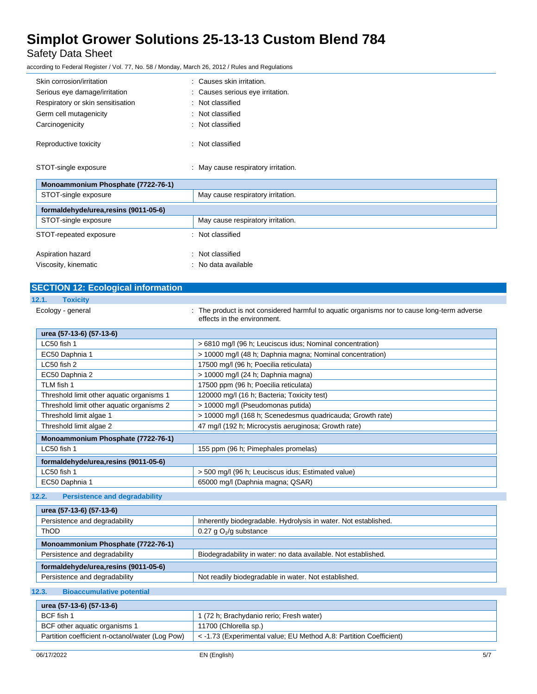Safety Data Sheet

according to Federal Register / Vol. 77, No. 58 / Monday, March 26, 2012 / Rules and Regulations

| Monoammonium Phosphate (7722-76-1)         |                                   |  |
|--------------------------------------------|-----------------------------------|--|
| STOT-single exposure                       | May cause respiratory irritation. |  |
| formaldehyde/urea.resins (9011-05-6)       |                                   |  |
| STOT-single exposure                       | May cause respiratory irritation. |  |
| STOT-repeated exposure<br>: Not classified |                                   |  |
| Aspiration hazard                          | : Not classified                  |  |
| Viscosity, kinematic                       | No data available                 |  |

## **SECTION 12: Ecological information**

| z |  |  |  | Toxicity |  |
|---|--|--|--|----------|--|
|   |  |  |  |          |  |

ı

| $\mathcal{L}^{\text{max}}_{\text{max}}$ and $\mathcal{L}^{\text{max}}_{\text{max}}$ and $\mathcal{L}^{\text{max}}_{\text{max}}$ |                                                                                                                            |
|---------------------------------------------------------------------------------------------------------------------------------|----------------------------------------------------------------------------------------------------------------------------|
| Ecology - general                                                                                                               | : The product is not considered harmful to aquatic organisms nor to cause long-term adverse<br>effects in the environment. |

| urea (57-13-6) (57-13-6)                  |                                                            |
|-------------------------------------------|------------------------------------------------------------|
| LC50 fish 1                               | > 6810 mg/l (96 h; Leuciscus idus; Nominal concentration)  |
| EC50 Daphnia 1                            | > 10000 mg/l (48 h; Daphnia magna; Nominal concentration)  |
| LC50 fish 2                               | 17500 mg/l (96 h; Poecilia reticulata)                     |
| EC50 Daphnia 2                            | > 10000 mg/l (24 h; Daphnia magna)                         |
| TLM fish 1                                | 17500 ppm (96 h; Poecilia reticulata)                      |
| Threshold limit other aquatic organisms 1 | 120000 mg/l (16 h; Bacteria; Toxicity test)                |
| Threshold limit other aquatic organisms 2 | > 10000 mg/l (Pseudomonas putida)                          |
| Threshold limit algae 1                   | > 10000 mg/l (168 h; Scenedesmus quadricauda; Growth rate) |
| Threshold limit algae 2                   | 47 mg/l (192 h; Microcystis aeruginosa; Growth rate)       |
| Monoammonium Phosphate (7722-76-1)        |                                                            |
| LC50 fish 1                               | 155 ppm (96 h; Pimephales promelas)                        |
| formaldehyde/urea.resins (9011-05-6)      |                                                            |
| LC50 fish 1                               | > 500 mg/l (96 h; Leuciscus idus; Estimated value)         |
| EC50 Daphnia 1                            | 65000 mg/l (Daphnia magna; QSAR)                           |

### **12.2. Persistence and degradability**

| urea (57-13-6) (57-13-6)                                        |  |  |  |  |
|-----------------------------------------------------------------|--|--|--|--|
| Inherently biodegradable. Hydrolysis in water. Not established. |  |  |  |  |
| 0.27 g $O_2$ /g substance                                       |  |  |  |  |
| Monoammonium Phosphate (7722-76-1)                              |  |  |  |  |
| Biodegradability in water: no data available. Not established.  |  |  |  |  |
| formaldehyde/urea.resins (9011-05-6)                            |  |  |  |  |
| Not readily biodegradable in water. Not established.            |  |  |  |  |
|                                                                 |  |  |  |  |

## **12.3. Bioaccumulative potential**

| urea (57-13-6) (57-13-6)                        |                                                                    |  |  |  |
|-------------------------------------------------|--------------------------------------------------------------------|--|--|--|
| BCF fish 1                                      | 1 (72 h; Brachydanio rerio; Fresh water)                           |  |  |  |
| BCF other aquatic organisms 1                   | 11700 (Chlorella sp.)                                              |  |  |  |
| Partition coefficient n-octanol/water (Log Pow) | < -1.73 (Experimental value; EU Method A.8: Partition Coefficient) |  |  |  |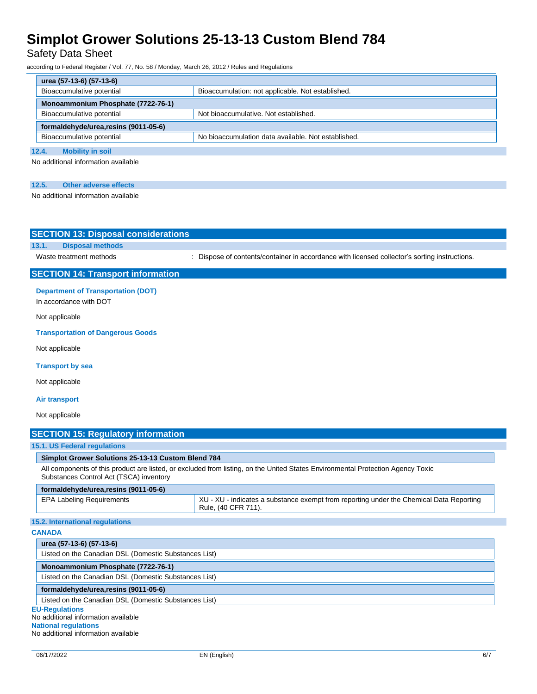Safety Data Sheet

according to Federal Register / Vol. 77, No. 58 / Monday, March 26, 2012 / Rules and Regulations

| urea (57-13-6) (57-13-6)             |                                                     |  |  |  |
|--------------------------------------|-----------------------------------------------------|--|--|--|
| Bioaccumulative potential            | Bioaccumulation: not applicable. Not established.   |  |  |  |
| Monoammonium Phosphate (7722-76-1)   |                                                     |  |  |  |
| Bioaccumulative potential            | Not bioaccumulative. Not established.               |  |  |  |
| formaldehyde/urea.resins (9011-05-6) |                                                     |  |  |  |
| Bioaccumulative potential            | No bioaccumulation data available. Not established. |  |  |  |
| 12.4.<br><b>Mobility in soil</b>     |                                                     |  |  |  |
|                                      |                                                     |  |  |  |

No additional information available

| 12.5. | Other adverse effects |  |
|-------|-----------------------|--|
|       |                       |  |

No additional information available

| <b>SECTION 13: Disposal considerations</b>            |                                                                                                                                 |
|-------------------------------------------------------|---------------------------------------------------------------------------------------------------------------------------------|
| <b>Disposal methods</b><br>13.1.                      |                                                                                                                                 |
| Waste treatment methods                               | : Dispose of contents/container in accordance with licensed collector's sorting instructions.                                   |
| <b>SECTION 14: Transport information</b>              |                                                                                                                                 |
| <b>Department of Transportation (DOT)</b>             |                                                                                                                                 |
| In accordance with DOT                                |                                                                                                                                 |
| Not applicable                                        |                                                                                                                                 |
| <b>Transportation of Dangerous Goods</b>              |                                                                                                                                 |
| Not applicable                                        |                                                                                                                                 |
| <b>Transport by sea</b>                               |                                                                                                                                 |
| Not applicable                                        |                                                                                                                                 |
| <b>Air transport</b>                                  |                                                                                                                                 |
| Not applicable                                        |                                                                                                                                 |
| <b>SECTION 15: Regulatory information</b>             |                                                                                                                                 |
| 15.1. US Federal regulations                          |                                                                                                                                 |
| Simplot Grower Solutions 25-13-13 Custom Blend 784    |                                                                                                                                 |
| Substances Control Act (TSCA) inventory               | All components of this product are listed, or excluded from listing, on the United States Environmental Protection Agency Toxic |
| formaldehyde/urea, resins (9011-05-6)                 |                                                                                                                                 |
| <b>EPA Labeling Requirements</b>                      | XU - XU - indicates a substance exempt from reporting under the Chemical Data Reporting<br>Rule, (40 CFR 711).                  |
| 15.2. International regulations                       |                                                                                                                                 |
| <b>CANADA</b>                                         |                                                                                                                                 |
| urea (57-13-6) (57-13-6)                              |                                                                                                                                 |
| Listed on the Canadian DSL (Domestic Substances List) |                                                                                                                                 |

**Monoammonium Phosphate (7722-76-1)** Listed on the Canadian DSL (Domestic Substances List)

### **formaldehyde/urea,resins (9011-05-6)**

Listed on the Canadian DSL (Domestic Substances List)

#### **EU-Regulations**

No additional information available

**National regulations** No additional information available